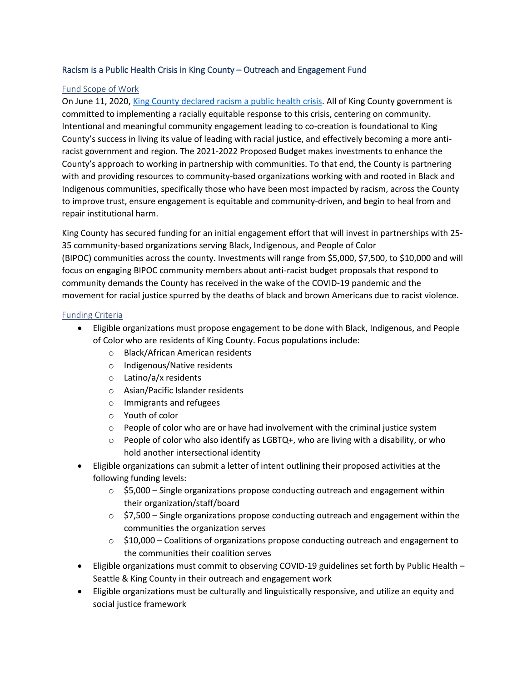## Racism is a Public Health Crisis in King County – Outreach and Engagement Fund

## Fund Scope of Work

On June 11, 2020, [King County declared racism a public health crisis.](https://publichealthinsider.com/2020/06/11/racism-is-a-public-health-crisis/) All of King County government is committed to implementing a racially equitable response to this crisis, centering on community. Intentional and meaningful community engagement leading to co-creation is foundational to King County's success in living its value of leading with racial justice, and effectively becoming a more antiracist government and region. The 2021-2022 Proposed Budget makes investments to enhance the County's approach to working in partnership with communities. To that end, the County is partnering with and providing resources to community-based organizations working with and rooted in Black and Indigenous communities, specifically those who have been most impacted by racism, across the County to improve trust, ensure engagement is equitable and community-driven, and begin to heal from and repair institutional harm.

King County has secured funding for an initial engagement effort that will invest in partnerships with 25- 35 community-based organizations serving Black, Indigenous, and People of Color (BIPOC) communities across the county. Investments will range from \$5,000, \$7,500, to \$10,000 and will focus on engaging BIPOC community members about anti-racist budget proposals that respond to community demands the County has received in the wake of the COVID-19 pandemic and the movement for racial justice spurred by the deaths of black and brown Americans due to racist violence.

## Funding Criteria

- Eligible organizations must propose engagement to be done with Black, Indigenous, and People of Color who are residents of King County. Focus populations include:
	- o Black/African American residents
	- o Indigenous/Native residents
	- o Latino/a/x residents
	- o Asian/Pacific Islander residents
	- o Immigrants and refugees
	- o Youth of color
	- $\circ$  People of color who are or have had involvement with the criminal justice system
	- $\circ$  People of color who also identify as LGBTQ+, who are living with a disability, or who hold another intersectional identity
- Eligible organizations can submit a letter of intent outlining their proposed activities at the following funding levels:
	- $\circ$  \$5,000 Single organizations propose conducting outreach and engagement within their organization/staff/board
	- $\circ$  \$7,500 Single organizations propose conducting outreach and engagement within the communities the organization serves
	- $\circ$  \$10,000 Coalitions of organizations propose conducting outreach and engagement to the communities their coalition serves
- Eligible organizations must commit to observing COVID-19 guidelines set forth by Public Health Seattle & King County in their outreach and engagement work
- Eligible organizations must be culturally and linguistically responsive, and utilize an equity and social justice framework